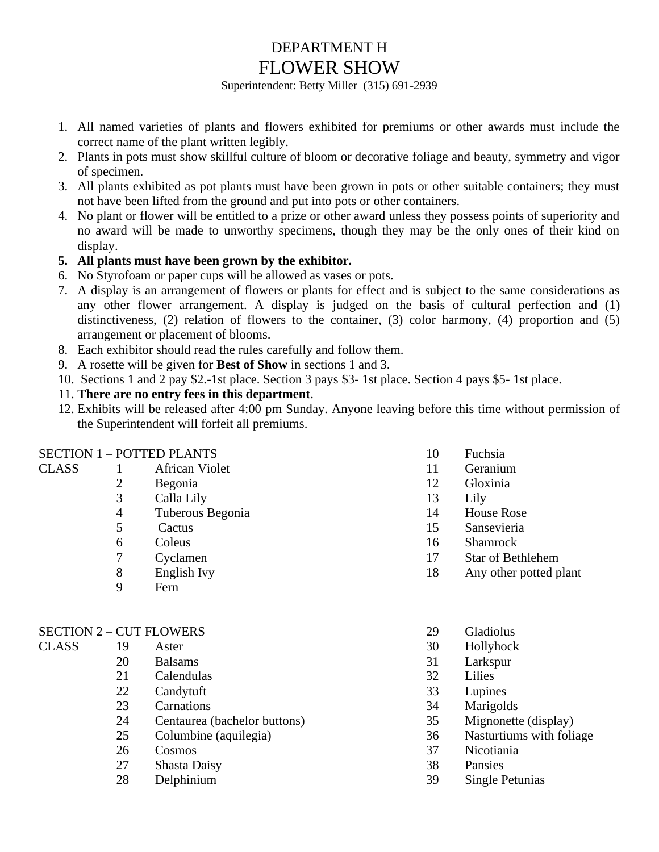# DEPARTMENT H FLOWER SHOW

Superintendent: Betty Miller (315) 691-2939

- 1. All named varieties of plants and flowers exhibited for premiums or other awards must include the correct name of the plant written legibly.
- 2. Plants in pots must show skillful culture of bloom or decorative foliage and beauty, symmetry and vigor of specimen.
- 3. All plants exhibited as pot plants must have been grown in pots or other suitable containers; they must not have been lifted from the ground and put into pots or other containers.
- 4. No plant or flower will be entitled to a prize or other award unless they possess points of superiority and no award will be made to unworthy specimens, though they may be the only ones of their kind on display.

## **5. All plants must have been grown by the exhibitor.**

- 6. No Styrofoam or paper cups will be allowed as vases or pots.
- 7. A display is an arrangement of flowers or plants for effect and is subject to the same considerations as any other flower arrangement. A display is judged on the basis of cultural perfection and (1) distinctiveness, (2) relation of flowers to the container, (3) color harmony, (4) proportion and (5) arrangement or placement of blooms.
- 8. Each exhibitor should read the rules carefully and follow them.
- 9. A rosette will be given for **Best of Show** in sections 1 and 3.
- 10. Sections 1 and 2 pay \$2.-1st place. Section 3 pays \$3- 1st place. Section 4 pays \$5- 1st place.

### 11. **There are no entry fees in this department**.

12. Exhibits will be released after 4:00 pm Sunday. Anyone leaving before this time without permission of the Superintendent will forfeit all premiums.

| <b>SECTION 1 – POTTED PLANTS</b> |   |                       | 10 | Fuchsia                  |
|----------------------------------|---|-----------------------|----|--------------------------|
| <b>CLASS</b>                     |   | <b>African Violet</b> | 11 | Geranium                 |
|                                  | 2 | Begonia               | 12 | Gloxinia                 |
|                                  | 3 | Calla Lily            | 13 | Lily                     |
|                                  | 4 | Tuberous Begonia      | 14 | <b>House Rose</b>        |
|                                  |   | Cactus                | 15 | Sansevieria              |
|                                  | 6 | Coleus                | 16 | <b>Shamrock</b>          |
|                                  |   | Cyclamen              | 17 | <b>Star of Bethlehem</b> |
|                                  | 8 | English Ivy           | 18 | Any other potted plant   |
|                                  | 9 | Fern                  |    |                          |
|                                  |   |                       |    |                          |

### SECTION 2 – CUT FLOWERS

- CLASS 19 Aster 20 Balsams 21 Calendulas 22 Candytuft 23 Carnations 24 Centaurea (bachelor buttons) 25 Columbine (aquilegia) 26 Cosmos
	- 27 Shasta Daisy
	- 28 Delphinium
- 29 Gladiolus
- 30 Hollyhock
- 31 Larkspur
- 32 Lilies
- 33 Lupines
- 34 Marigolds
- 35 Mignonette (display)
- 36 Nasturtiums with foliage
- 37 Nicotiania
- 38 Pansies
- 39 Single Petunias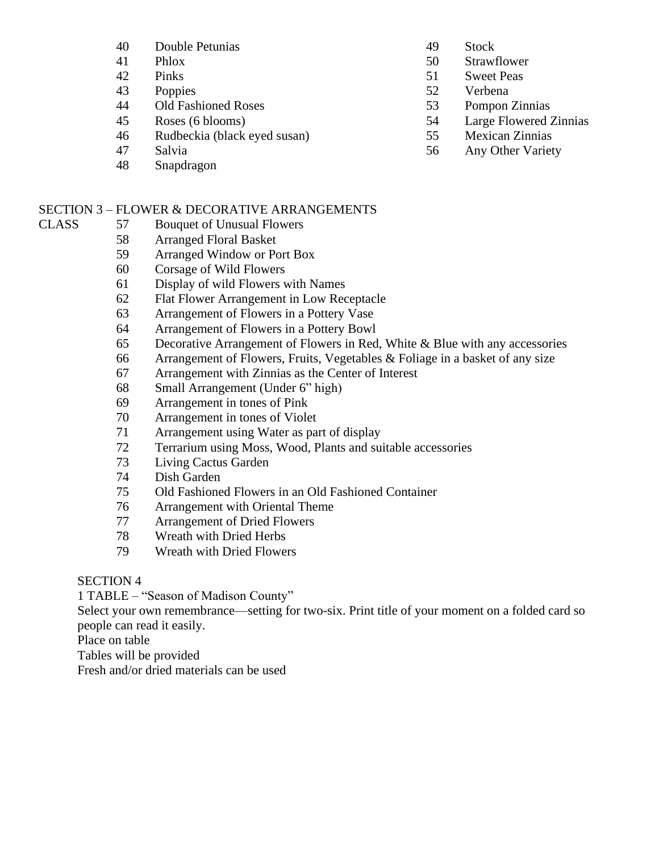- Double Petunias
- Phlox
- Pinks
- Poppies
- Old Fashioned Roses
- Roses (6 blooms)
- Rudbeckia (black eyed susan)
- Salvia
- Snapdragon
- Stock
- Strawflower
- Sweet Peas
- Verbena
- Pompon Zinnias
- Large Flowered Zinnias
- Mexican Zinnias
- Any Other Variety

## SECTION 3 – FLOWER & DECORATIVE ARRANGEMENTS

- CLASS 57 Bouquet of Unusual Flowers
	- Arranged Floral Basket
		- Arranged Window or Port Box
		- Corsage of Wild Flowers
		- Display of wild Flowers with Names
		- Flat Flower Arrangement in Low Receptacle
		- Arrangement of Flowers in a Pottery Vase
		- Arrangement of Flowers in a Pottery Bowl
		- Decorative Arrangement of Flowers in Red, White & Blue with any accessories
		- Arrangement of Flowers, Fruits, Vegetables & Foliage in a basket of any size
		- Arrangement with Zinnias as the Center of Interest
		- Small Arrangement (Under 6" high)
		- Arrangement in tones of Pink
		- Arrangement in tones of Violet
		- Arrangement using Water as part of display
		- Terrarium using Moss, Wood, Plants and suitable accessories
		- Living Cactus Garden
		- Dish Garden
		- Old Fashioned Flowers in an Old Fashioned Container
		- Arrangement with Oriental Theme
		- Arrangement of Dried Flowers
		- Wreath with Dried Herbs
		- Wreath with Dried Flowers

## SECTION 4

1 TABLE – "Season of Madison County"

Select your own remembrance—setting for two-six. Print title of your moment on a folded card so people can read it easily.

Place on table

Tables will be provided

Fresh and/or dried materials can be used